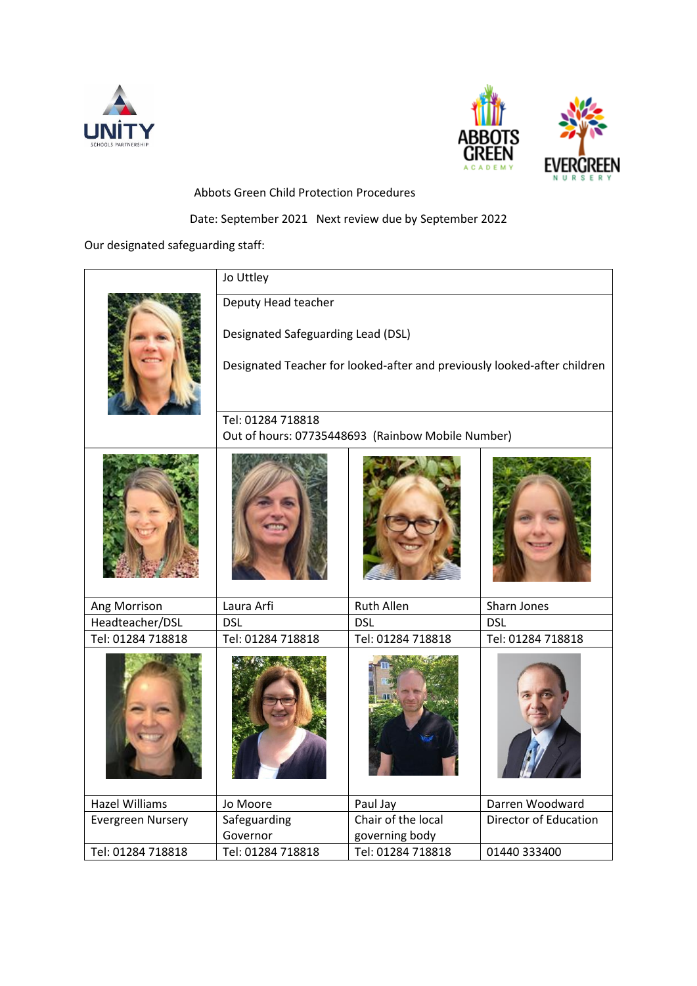



Abbots Green Child Protection Procedures

# Date: September 2021 Next review due by September 2022

Our designated safeguarding staff:

|                          | Jo Uttley                                                                                                                             |                                     |                              |
|--------------------------|---------------------------------------------------------------------------------------------------------------------------------------|-------------------------------------|------------------------------|
|                          | Deputy Head teacher<br>Designated Safeguarding Lead (DSL)<br>Designated Teacher for looked-after and previously looked-after children |                                     |                              |
|                          | Tel: 01284 718818<br>Out of hours: 07735448693 (Rainbow Mobile Number)                                                                |                                     |                              |
|                          |                                                                                                                                       |                                     |                              |
| Ang Morrison             | Laura Arfi                                                                                                                            | <b>Ruth Allen</b>                   | Sharn Jones                  |
| Headteacher/DSL          | <b>DSL</b>                                                                                                                            | <b>DSL</b>                          | <b>DSL</b>                   |
| Tel: 01284 718818        | Tel: 01284 718818                                                                                                                     | Tel: 01284 718818                   | Tel: 01284 718818            |
|                          |                                                                                                                                       |                                     |                              |
| <b>Hazel Williams</b>    | Jo Moore                                                                                                                              | Paul Jay                            | Darren Woodward              |
| <b>Evergreen Nursery</b> | Safeguarding<br>Governor                                                                                                              | Chair of the local                  | <b>Director of Education</b> |
| Tel: 01284 718818        | Tel: 01284 718818                                                                                                                     | governing body<br>Tel: 01284 718818 | 01440 333400                 |
|                          |                                                                                                                                       |                                     |                              |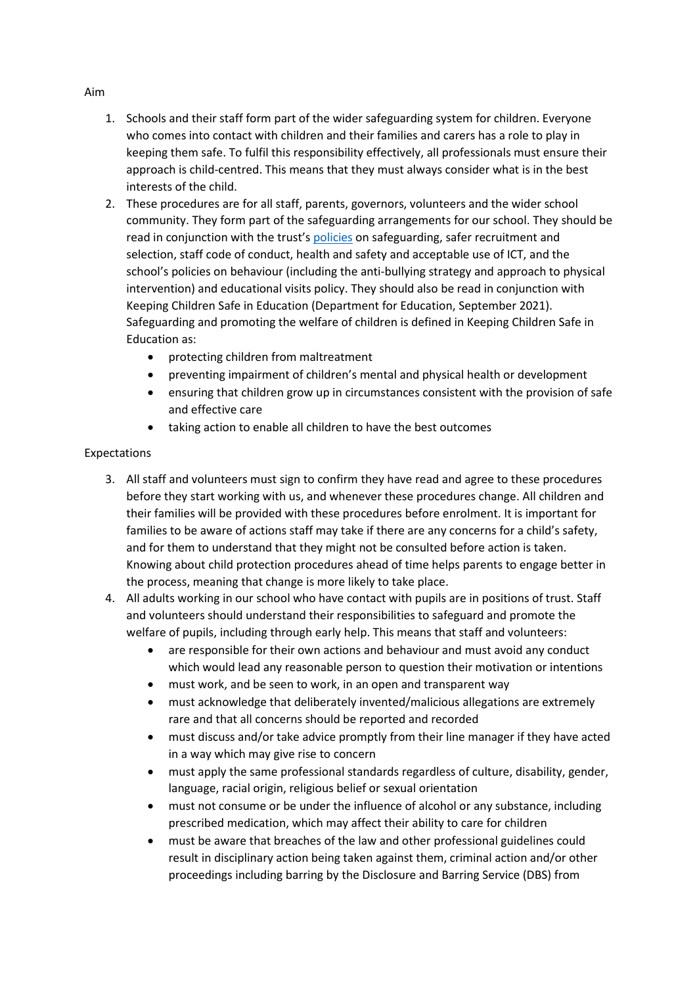- 1. Schools and their staff form part of the wider safeguarding system for children. Everyone who comes into contact with children and their families and carers has a role to play in keeping them safe. To fulfil this responsibility effectively, all professionals must ensure their approach is child-centred. This means that they must always consider what is in the best interests of the child.
	- 2. These procedures are for all staff, parents, governors, volunteers and the wider school community. They form part of the safeguarding arrangements for our school. They should be read in conjunction with the trust's [policies](https://www.unitysp.co.uk/policies/) on safeguarding, safer recruitment and selection, staff code of conduct, health and safety and acceptable use of ICT, and the school's policies on behaviour (including the anti-bullying strategy and approach to physical intervention) and educational visits policy. They should also be read in conjunction with Keeping Children Safe in Education (Department for Education, September 2021). Safeguarding and promoting the welfare of children is defined in Keeping Children Safe in Education as:
		- protecting children from maltreatment
		- preventing impairment of children's mental and physical health or development
		- ensuring that children grow up in circumstances consistent with the provision of safe and effective care
		- taking action to enable all children to have the best outcomes

### Expectations

- 3. All staff and volunteers must sign to confirm they have read and agree to these procedures before they start working with us, and whenever these procedures change. All children and their families will be provided with these procedures before enrolment. It is important for families to be aware of actions staff may take if there are any concerns for a child's safety, and for them to understand that they might not be consulted before action is taken. Knowing about child protection procedures ahead of time helps parents to engage better in the process, meaning that change is more likely to take place.
- 4. All adults working in our school who have contact with pupils are in positions of trust. Staff and volunteers should understand their responsibilities to safeguard and promote the welfare of pupils, including through early help. This means that staff and volunteers:
	- are responsible for their own actions and behaviour and must avoid any conduct which would lead any reasonable person to question their motivation or intentions
	- must work, and be seen to work, in an open and transparent way
	- must acknowledge that deliberately invented/malicious allegations are extremely rare and that all concerns should be reported and recorded
	- must discuss and/or take advice promptly from their line manager if they have acted in a way which may give rise to concern
	- must apply the same professional standards regardless of culture, disability, gender, language, racial origin, religious belief or sexual orientation
	- must not consume or be under the influence of alcohol or any substance, including prescribed medication, which may affect their ability to care for children
	- must be aware that breaches of the law and other professional guidelines could result in disciplinary action being taken against them, criminal action and/or other proceedings including barring by the Disclosure and Barring Service (DBS) from

#### Aim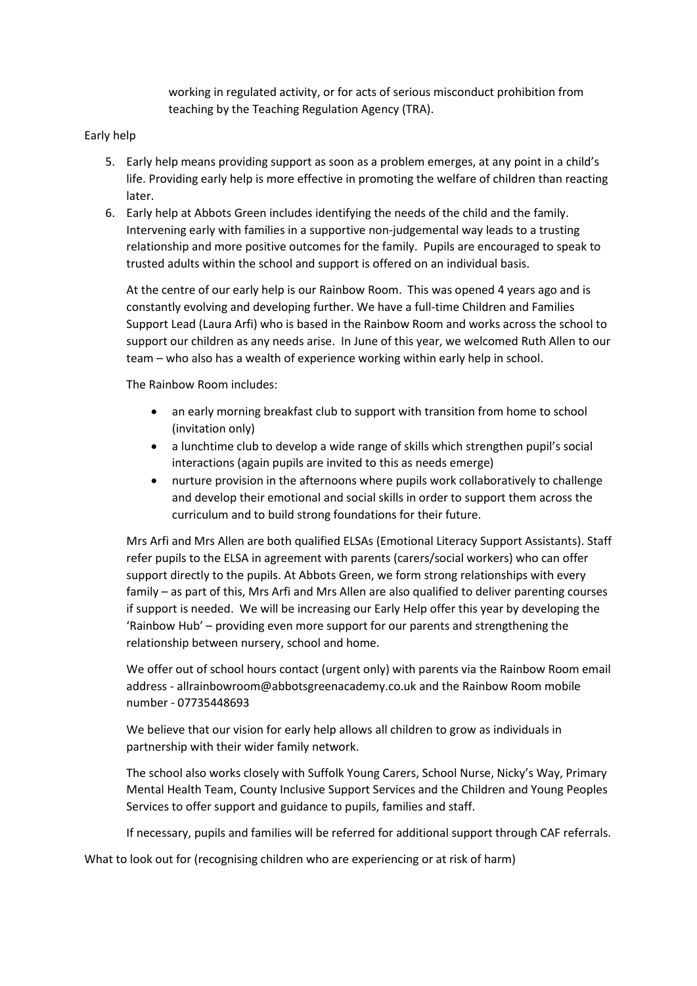working in regulated activity, or for acts of serious misconduct prohibition from teaching by the Teaching Regulation Agency (TRA).

### Early help

- 5. Early help means providing support as soon as a problem emerges, at any point in a child's life. Providing early help is more effective in promoting the welfare of children than reacting later.
- 6. Early help at Abbots Green includes identifying the needs of the child and the family. Intervening early with families in a supportive non-judgemental way leads to a trusting relationship and more positive outcomes for the family. Pupils are encouraged to speak to trusted adults within the school and support is offered on an individual basis.

At the centre of our early help is our Rainbow Room. This was opened 4 years ago and is constantly evolving and developing further. We have a full-time Children and Families Support Lead (Laura Arfi) who is based in the Rainbow Room and works across the school to support our children as any needs arise. In June of this year, we welcomed Ruth Allen to our team – who also has a wealth of experience working within early help in school.

The Rainbow Room includes:

- an early morning breakfast club to support with transition from home to school (invitation only)
- a lunchtime club to develop a wide range of skills which strengthen pupil's social interactions (again pupils are invited to this as needs emerge)
- nurture provision in the afternoons where pupils work collaboratively to challenge and develop their emotional and social skills in order to support them across the curriculum and to build strong foundations for their future.

Mrs Arfi and Mrs Allen are both qualified ELSAs (Emotional Literacy Support Assistants). Staff refer pupils to the ELSA in agreement with parents (carers/social workers) who can offer support directly to the pupils. At Abbots Green, we form strong relationships with every family – as part of this, Mrs Arfi and Mrs Allen are also qualified to deliver parenting courses if support is needed. We will be increasing our Early Help offer this year by developing the 'Rainbow Hub' – providing even more support for our parents and strengthening the relationship between nursery, school and home.

We offer out of school hours contact (urgent only) with parents via the Rainbow Room email address - [allrainbowroom@abbotsgreenacademy.co.uk](mailto:allrainbowroom@abbotsgreenacademy.co.uk) and the Rainbow Room mobile number - 07735448693

We believe that our vision for early help allows all children to grow as individuals in partnership with their wider family network.

The school also works closely with Suffolk Young Carers, School Nurse, Nicky's Way, Primary Mental Health Team, County Inclusive Support Services and the Children and Young Peoples Services to offer support and guidance to pupils, families and staff.

If necessary, pupils and families will be referred for additional support through CAF referrals.

What to look out for (recognising children who are experiencing or at risk of harm)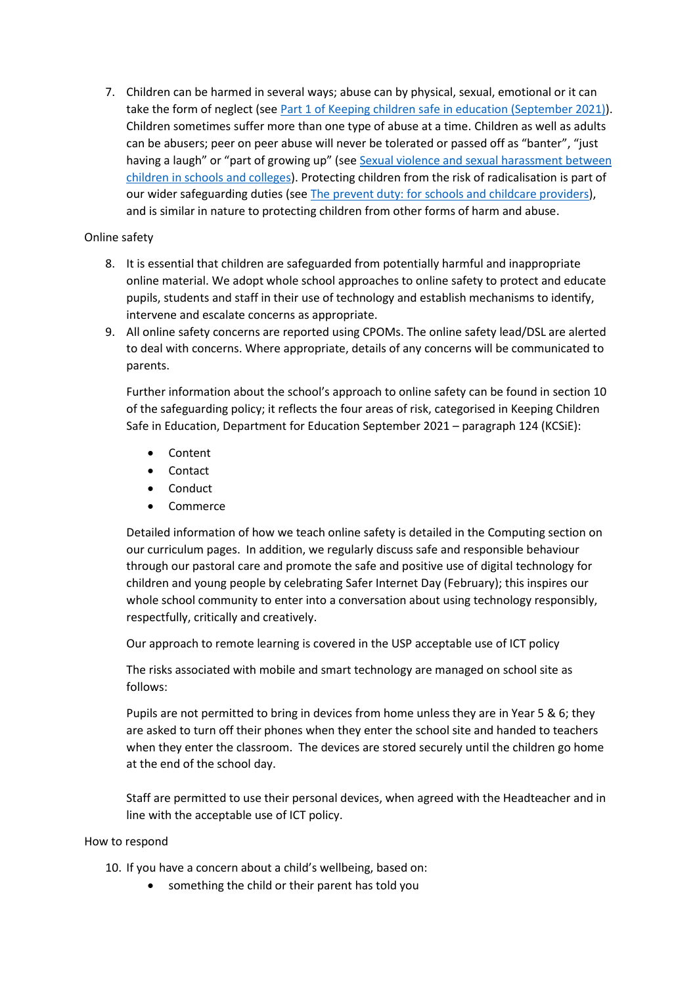7. Children can be harmed in several ways; abuse can by physical, sexual, emotional or it can take the form of neglect (see Part 1 [of Keeping children safe in education](https://www.gov.uk/government/publications/keeping-children-safe-in-education--2) (September 2021)). Children sometimes suffer more than one type of abuse at a time. Children as well as adults can be abusers; peer on peer abuse will never be tolerated or passed off as "banter", "just having a laugh" or "part of growing up" (see [Sexual violence and sexual harassment between](https://www.gov.uk/government/publications/sexual-violence-and-sexual-harassment-between-children-in-schools-and-colleges)  [children in schools and colleges\)](https://www.gov.uk/government/publications/sexual-violence-and-sexual-harassment-between-children-in-schools-and-colleges). Protecting children from the risk of radicalisation is part of our wider safeguarding duties (see [The prevent duty: for schools and childcare providers\)](https://www.gov.uk/government/publications/protecting-children-from-radicalisation-the-prevent-duty), and is similar in nature to protecting children from other forms of harm and abuse.

## Online safety

- 8. It is essential that children are safeguarded from potentially harmful and inappropriate online material. We adopt whole school approaches to online safety to protect and educate pupils, students and staff in their use of technology and establish mechanisms to identify, intervene and escalate concerns as appropriate.
- 9. All online safety concerns are reported using CPOMs. The online safety lead/DSL are alerted to deal with concerns. Where appropriate, details of any concerns will be communicated to parents.

Further information about the school's approach to online safety can be found in section 10 of the safeguarding policy; it reflects the four areas of risk, categorised in Keeping Children Safe in Education, Department for Education September 2021 – paragraph 124 (KCSiE):

- Content
- Contact
- Conduct
- Commerce

Detailed information of how we teach online safety is detailed in the Computing section on our curriculum pages. In addition, we regularly discuss safe and responsible behaviour through our pastoral care and promote the safe and positive use of digital technology for children and young people by celebrating Safer Internet Day (February); this inspires our whole school community to enter into a conversation about using technology responsibly, respectfully, critically and creatively.

Our approach to remote learning is covered in the USP acceptable use of ICT policy

The risks associated with mobile and smart technology are managed on school site as follows:

Pupils are not permitted to bring in devices from home unless they are in Year 5 & 6; they are asked to turn off their phones when they enter the school site and handed to teachers when they enter the classroom. The devices are stored securely until the children go home at the end of the school day.

Staff are permitted to use their personal devices, when agreed with the Headteacher and in line with the acceptable use of ICT policy.

### How to respond

10. If you have a concern about a child's wellbeing, based on:

• something the child or their parent has told you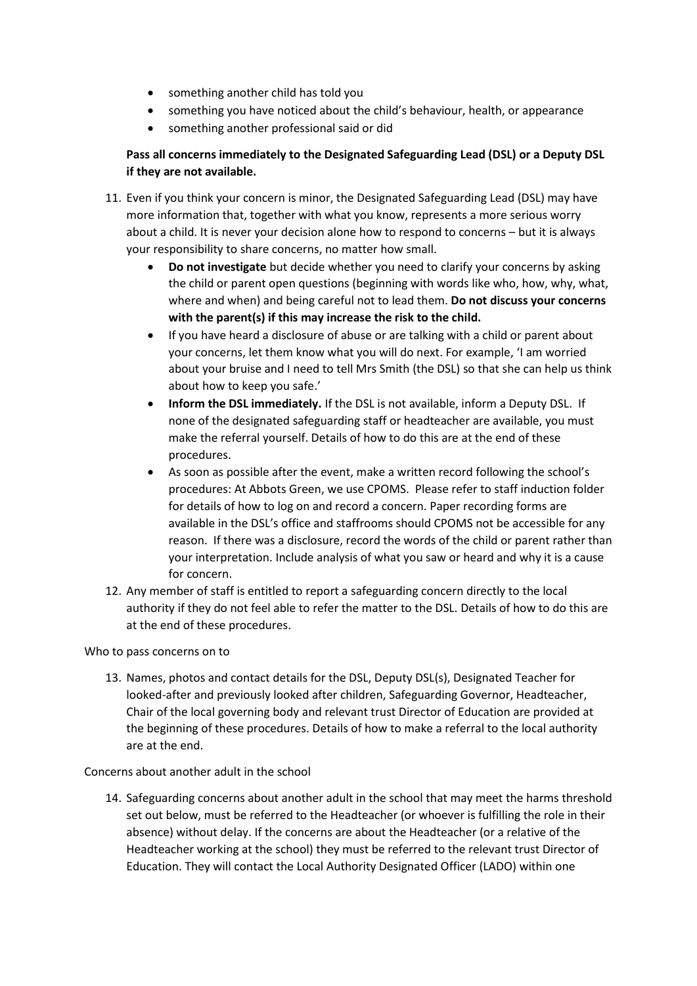- something another child has told you
- something you have noticed about the child's behaviour, health, or appearance
- something another professional said or did

## **Pass all concerns immediately to the Designated Safeguarding Lead (DSL) or a Deputy DSL if they are not available.**

- 11. Even if you think your concern is minor, the Designated Safeguarding Lead (DSL) may have more information that, together with what you know, represents a more serious worry about a child. It is never your decision alone how to respond to concerns – but it is always your responsibility to share concerns, no matter how small.
	- **Do not investigate** but decide whether you need to clarify your concerns by asking the child or parent open questions (beginning with words like who, how, why, what, where and when) and being careful not to lead them. **Do not discuss your concerns with the parent(s) if this may increase the risk to the child.**
	- If you have heard a disclosure of abuse or are talking with a child or parent about your concerns, let them know what you will do next. For example, 'I am worried about your bruise and I need to tell Mrs Smith (the DSL) so that she can help us think about how to keep you safe.'
	- **Inform the DSL immediately.** If the DSL is not available, inform a Deputy DSL. If none of the designated safeguarding staff or headteacher are available, you must make the referral yourself. Details of how to do this are at the end of these procedures.
	- As soon as possible after the event, make a written record following the school's procedures: At Abbots Green, we use CPOMS. Please refer to staff induction folder for details of how to log on and record a concern. Paper recording forms are available in the DSL's office and staffrooms should CPOMS not be accessible for any reason. If there was a disclosure, record the words of the child or parent rather than your interpretation. Include analysis of what you saw or heard and why it is a cause for concern.
- 12. Any member of staff is entitled to report a safeguarding concern directly to the local authority if they do not feel able to refer the matter to the DSL. Details of how to do this are at the end of these procedures.

## Who to pass concerns on to

13. Names, photos and contact details for the DSL, Deputy DSL(s), Designated Teacher for looked-after and previously looked after children, Safeguarding Governor, Headteacher, Chair of the local governing body and relevant trust Director of Education are provided at the beginning of these procedures. Details of how to make a referral to the local authority are at the end.

## Concerns about another adult in the school

14. Safeguarding concerns about another adult in the school that may meet the harms threshold set out below, must be referred to the Headteacher (or whoever is fulfilling the role in their absence) without delay. If the concerns are about the Headteacher (or a relative of the Headteacher working at the school) they must be referred to the relevant trust Director of Education. They will contact the Local Authority Designated Officer (LADO) within one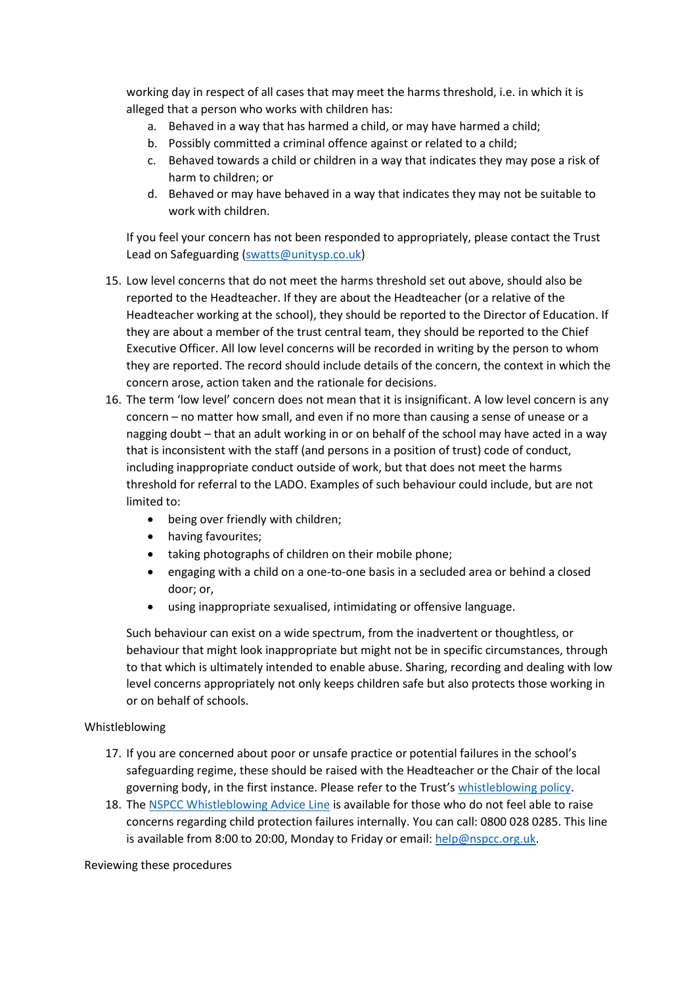working day in respect of all cases that may meet the harms threshold, i.e. in which it is alleged that a person who works with children has:

- a. Behaved in a way that has harmed a child, or may have harmed a child;
- b. Possibly committed a criminal offence against or related to a child;
- c. Behaved towards a child or children in a way that indicates they may pose a risk of harm to children; or
- d. Behaved or may have behaved in a way that indicates they may not be suitable to work with children.

If you feel your concern has not been responded to appropriately, please contact the Trust Lead on Safeguarding [\(swatts@unitysp.co.uk\)](mailto:swatts@unitysp.co.uk)

- 15. Low level concerns that do not meet the harms threshold set out above, should also be reported to the Headteacher. If they are about the Headteacher (or a relative of the Headteacher working at the school), they should be reported to the Director of Education. If they are about a member of the trust central team, they should be reported to the Chief Executive Officer. All low level concerns will be recorded in writing by the person to whom they are reported. The record should include details of the concern, the context in which the concern arose, action taken and the rationale for decisions.
- 16. The term 'low level' concern does not mean that it is insignificant. A low level concern is any concern – no matter how small, and even if no more than causing a sense of unease or a nagging doubt – that an adult working in or on behalf of the school may have acted in a way that is inconsistent with the staff (and persons in a position of trust) code of conduct, including inappropriate conduct outside of work, but that does not meet the harms threshold for referral to the LADO. Examples of such behaviour could include, but are not limited to:
	- being over friendly with children;
	- having favourites;
	- taking photographs of children on their mobile phone;
	- engaging with a child on a one-to-one basis in a secluded area or behind a closed door; or,
	- using inappropriate sexualised, intimidating or offensive language.

Such behaviour can exist on a wide spectrum, from the inadvertent or thoughtless, or behaviour that might look inappropriate but might not be in specific circumstances, through to that which is ultimately intended to enable abuse. Sharing, recording and dealing with low level concerns appropriately not only keeps children safe but also protects those working in or on behalf of schools.

### Whistleblowing

- 17. If you are concerned about poor or unsafe practice or potential failures in the school's safeguarding regime, these should be raised with the Headteacher or the Chair of the local governing body, in the first instance. Please refer to the Trust's [whistleblowing policy.](https://www.unitysp.co.uk/documents/whistle-blowing-policy-and-procedures/)
- 18. The [NSPCC Whistleblowing Advice Line](https://www.nspcc.org.uk/what-you-can-do/report-abuse/dedicated-helplines/whistleblowing-advice-line/) is available for those who do not feel able to raise concerns regarding child protection failures internally. You can call: 0800 028 0285. This line is available from 8:00 to 20:00, Monday to Friday or email: [help@nspcc.org.uk.](mailto:help@nspcc.org.uk)

### Reviewing these procedures